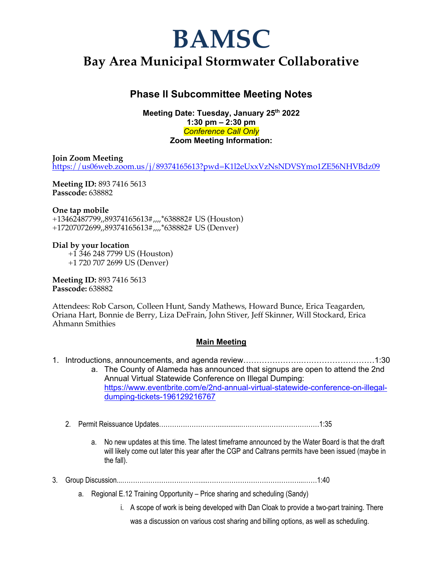# **BAMSC**

## **Bay Area Municipal Stormwater Collaborative**

### **Phase II Subcommittee Meeting Notes**

**Meeting Date: Tuesday, January 25th 2022 1:30 pm – 2:30 pm** *Conference Call Only* **Zoom Meeting Information:** 

**Join Zoom Meeting** https://us06web.zoom.us/j/89374165613?pwd=K1l2eUxxVzNsNDVSYmo1ZE56NHVBdz09

**Meeting ID:** 893 7416 5613 **Passcode:** 638882

#### **One tap mobile**

+13462487799,,89374165613#,,,,\*638882# US (Houston) +17207072699,,89374165613#,,,,\*638882# US (Denver)

#### **Dial by your location**

 +1 346 248 7799 US (Houston) +1 720 707 2699 US (Denver)

**Meeting ID:** 893 7416 5613 **Passcode:** 638882

Attendees: Rob Carson, Colleen Hunt, Sandy Mathews, Howard Bunce, Erica Teagarden, Oriana Hart, Bonnie de Berry, Liza DeFrain, John Stiver, Jeff Skinner, Will Stockard, Erica Ahmann Smithies

#### **Main Meeting**

- 1. Introductions, announcements, and agenda review………………….….……………………1:30 a. The County of Alameda has announced that signups are open to attend the 2nd Annual Virtual Statewide Conference on Illegal Dumping: https://www.eventbrite.com/e/2nd-annual-virtual-statewide-conference-on-illegaldumping-tickets-196129216767
	- 2. Permit Reissuance Updates……………………….............………………………………1:35
		- a. No new updates at this time. The latest timeframe announced by the Water Board is that the draft will likely come out later this year after the CGP and Caltrans permits have been issued (maybe in the fall).
- 3. Group Discussion...………………………………....……………………………………...……1:40
	- a. Regional E.12 Training Opportunity Price sharing and scheduling (Sandy)
		- i. A scope of work is being developed with Dan Cloak to provide a two-part training. There

was a discussion on various cost sharing and billing options, as well as scheduling.